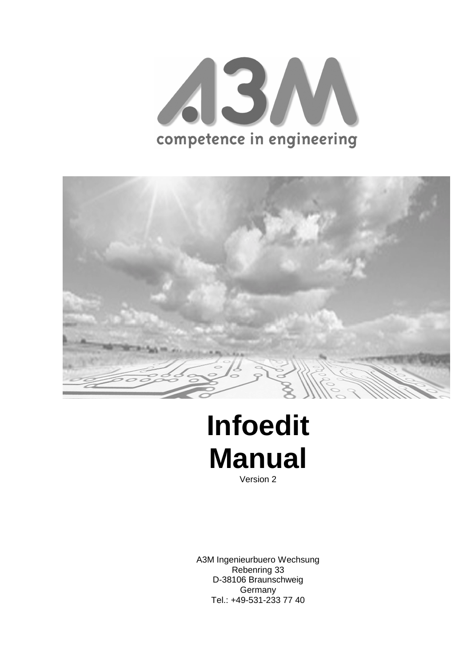





A3M Ingenieurbuero Wechsung Rebenring 33 D-38106 Braunschweig **Germany** Tel.: +49-531-233 77 40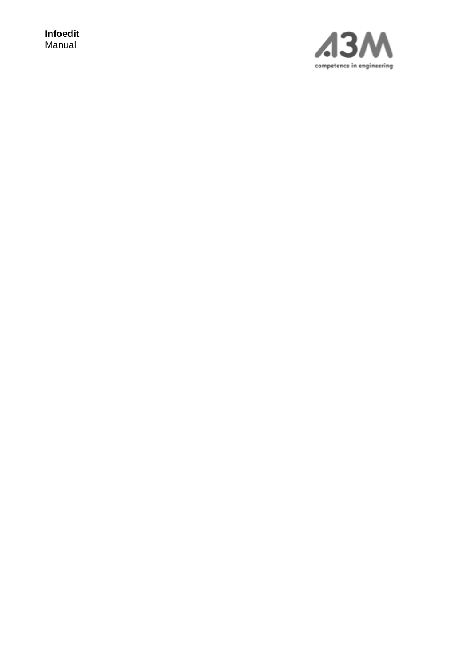**Infoedit** Manual

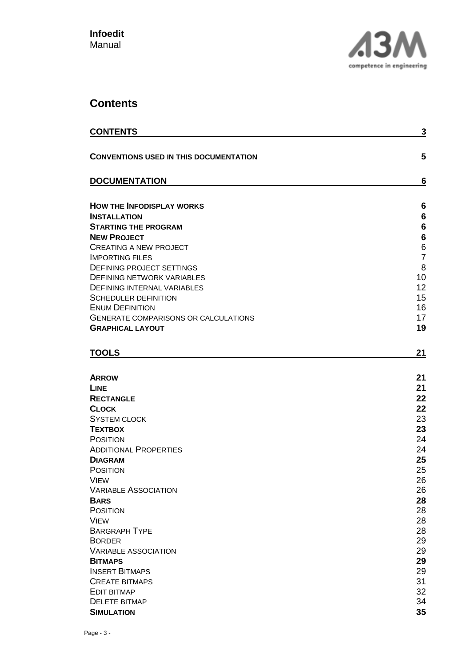

# **Contents**

| <b>CONTENTS</b>                               | 3               |
|-----------------------------------------------|-----------------|
| <b>CONVENTIONS USED IN THIS DOCUMENTATION</b> | 5               |
| <b>DOCUMENTATION</b>                          | 6               |
|                                               |                 |
| <b>HOW THE INFODISPLAY WORKS</b>              | 6               |
| <b>INSTALLATION</b>                           | 6               |
| <b>STARTING THE PROGRAM</b>                   | $6\phantom{1}6$ |
| <b>NEW PROJECT</b>                            | $6\phantom{1}6$ |
| <b>CREATING A NEW PROJECT</b>                 | 6               |
| <b>IMPORTING FILES</b>                        | $\overline{7}$  |
| DEFINING PROJECT SETTINGS                     | 8               |
| <b>DEFINING NETWORK VARIABLES</b>             | 10              |
| DEFINING INTERNAL VARIABLES                   | 12              |
| <b>SCHEDULER DEFINITION</b>                   | 15              |
| <b>ENUM DEFINITION</b>                        | 16              |
| <b>GENERATE COMPARISONS OR CALCULATIONS</b>   | 17              |
| <b>GRAPHICAL LAYOUT</b>                       | 19              |
| <b>TOOLS</b>                                  | 21              |
|                                               |                 |
| <b>ARROW</b>                                  | 21              |
| <b>LINE</b>                                   | 21              |
| <b>RECTANGLE</b>                              | 22              |
| <b>CLOCK</b>                                  | 22              |
| <b>SYSTEM CLOCK</b>                           | 23              |
| <b>TEXTBOX</b>                                | 23              |
| <b>POSITION</b>                               | 24              |
| <b>ADDITIONAL PROPERTIES</b>                  | 24              |
| <b>DIAGRAM</b>                                | 25              |
| <b>POSITION</b>                               | 25              |
| <b>VIEW</b>                                   | 26              |
| <b>VARIABLE ASSOCIATION</b>                   | 26              |
| <b>BARS</b>                                   | 28              |
| <b>POSITION</b>                               | 28              |
| <b>VIEW</b>                                   | 28              |
| <b>BARGRAPH TYPE</b>                          | 28              |
| <b>BORDER</b>                                 | 29              |
| <b>VARIABLE ASSOCIATION</b>                   | 29              |
| <b>BITMAPS</b>                                | 29              |
| <b>INSERT BITMAPS</b>                         | 29              |
| <b>CREATE BITMAPS</b>                         | 31              |
| <b>EDIT BITMAP</b>                            | 32              |
| <b>DELETE BITMAP</b>                          | 34              |
| <b>SIMULATION</b>                             | 35              |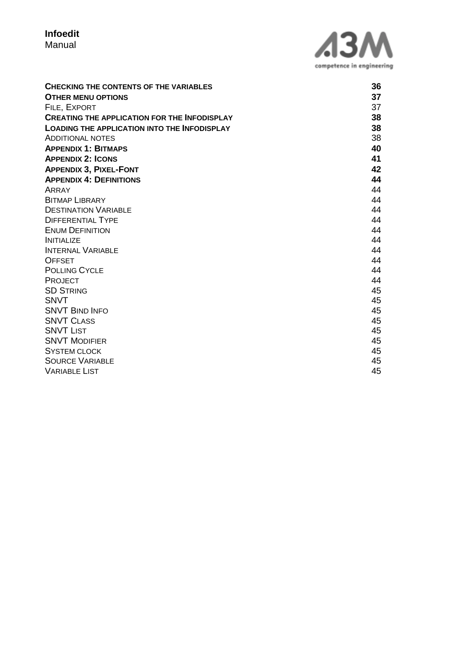**Infoedit** Manual



| <b>CHECKING THE CONTENTS OF THE VARIABLES</b>       | 36 |
|-----------------------------------------------------|----|
| <b>OTHER MENU OPTIONS</b>                           | 37 |
| FILE, EXPORT                                        | 37 |
| <b>CREATING THE APPLICATION FOR THE INFODISPLAY</b> | 38 |
| <b>LOADING THE APPLICATION INTO THE INFODISPLAY</b> | 38 |
| <b>ADDITIONAL NOTES</b>                             | 38 |
| <b>APPENDIX 1: BITMAPS</b>                          | 40 |
| <b>APPENDIX 2: ICONS</b>                            | 41 |
| <b>APPENDIX 3, PIXEL-FONT</b>                       | 42 |
| <b>APPENDIX 4: DEFINITIONS</b>                      | 44 |
| ARRAY                                               | 44 |
| <b>BITMAP LIBRARY</b>                               | 44 |
| <b>DESTINATION VARIABLE</b>                         | 44 |
| <b>DIFFERENTIAL TYPE</b>                            | 44 |
| <b>ENUM DEFINITION</b>                              | 44 |
| <b>INITIALIZE</b>                                   | 44 |
| <b>INTERNAL VARIABLE</b>                            | 44 |
| <b>OFFSET</b>                                       | 44 |
| <b>POLLING CYCLE</b>                                | 44 |
| <b>PROJECT</b>                                      | 44 |
| <b>SD STRING</b>                                    | 45 |
| <b>SNVT</b>                                         | 45 |
| <b>SNVT BIND INFO</b>                               | 45 |
| <b>SNVT CLASS</b>                                   | 45 |
| <b>SNVT LIST</b>                                    | 45 |
| <b>SNVT MODIFIER</b>                                | 45 |
| <b>SYSTEM CLOCK</b>                                 | 45 |
| <b>SOURCE VARIABLE</b>                              | 45 |
| <b>VARIABLE LIST</b>                                | 45 |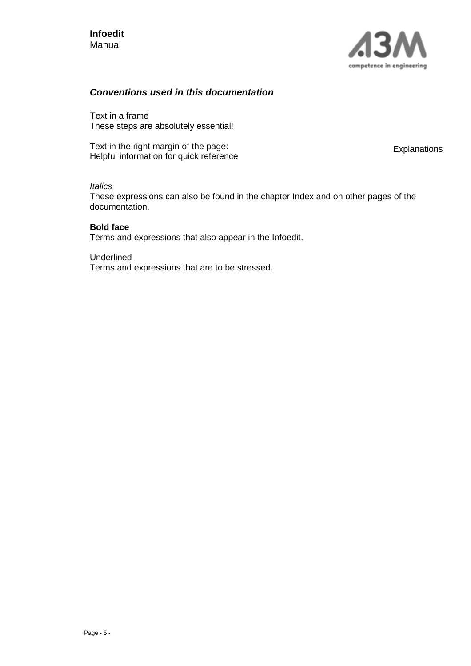

# <span id="page-4-0"></span>*Conventions used in this documentation*

Text in a frame These steps are absolutely essential!

Text in the right margin of the page: Helpful information for quick reference

Explanations

## *Italics*

These expressions can also be found in the chapter Index and on other pages of the documentation.

#### **Bold face**

Terms and expressions that also appear in the Infoedit.

## **Underlined**

Terms and expressions that are to be stressed.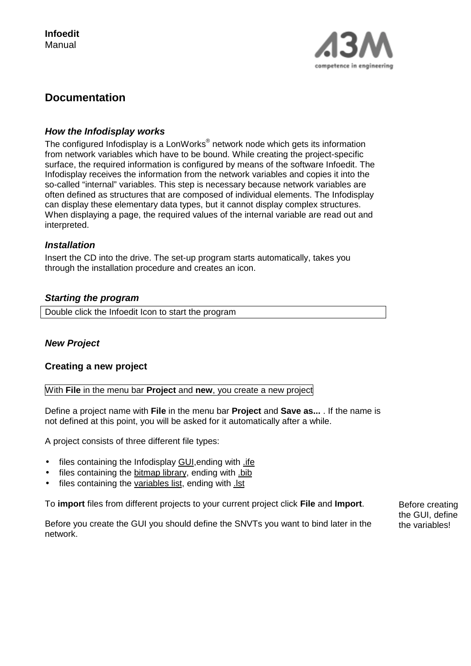

# <span id="page-5-0"></span>**Documentation**

# *How the Infodisplay works*

The configured Infodisplay is a LonWorks $^\circledast$  network node which gets its information from network variables which have to be bound. While creating the project-specific surface, the required information is configured by means of the software Infoedit. The Infodisplay receives the information from the network variables and copies it into the so-called "internal" variables. This step is necessary because network variables are often defined as structures that are composed of individual elements. The Infodisplay can display these elementary data types, but it cannot display complex structures. When displaying a page, the required values of the internal variable are read out and interpreted.

# *Installation*

Insert the CD into the drive. The set-up program starts automatically, takes you through the installation procedure and creates an icon.

# *Starting the program*

Double click the Infoedit Icon to start the program

# *New Project*

# **Creating a new project**

With **File** in the menu bar **Project** and **new**, you create a new project

Define a project name with **File** in the menu bar **Project** and **Save as...** . If the name is not defined at this point, you will be asked for it automatically after a while.

A project consists of three different file types:

- files containing the Infodisplay GUI, ending with .ife
- files containing the bitmap library, ending with .bib
- files containing the variables list, ending with .lst

To **import** files from different projects to your current project click **File** and **Import**.

Before you create the GUI you should define the SNVTs you want to bind later in the network.

Before creating the GUI, define the variables!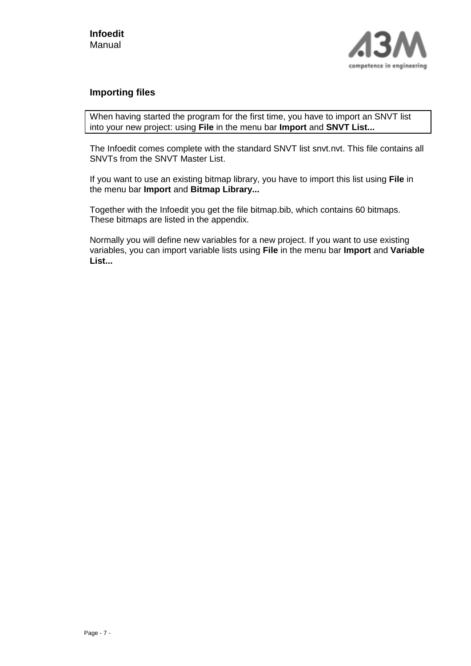

# <span id="page-6-0"></span>**Importing files**

When having started the program for the first time, you have to import an SNVT list into your new project: using **File** in the menu bar **Import** and **SNVT List...**

The Infoedit comes complete with the standard SNVT list snvt.nvt. This file contains all SNVTs from the SNVT Master List.

If you want to use an existing bitmap library, you have to import this list using **File** in the menu bar **Import** and **Bitmap Library...**

Together with the Infoedit you get the file bitmap.bib, which contains 60 bitmaps. These bitmaps are listed in the appendix.

Normally you will define new variables for a new project. If you want to use existing variables, you can import variable lists using **File** in the menu bar **Import** and **Variable List...**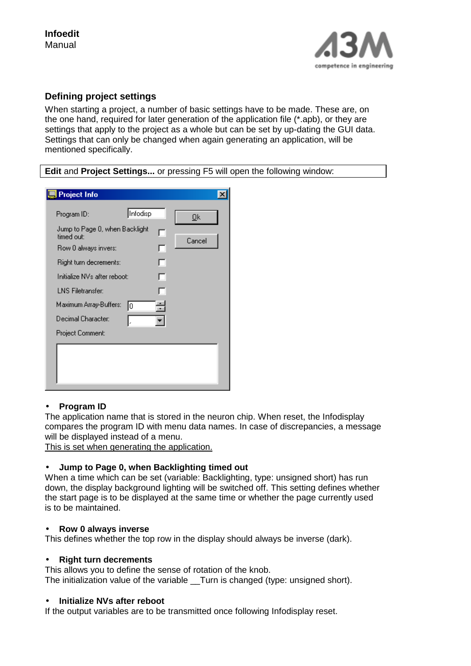<span id="page-7-0"></span>**Infoedit** Manual



# **Defining project settings**

When starting a project, a number of basic settings have to be made. These are, on the one hand, required for later generation of the application file (\*,apb), or they are settings that apply to the project as a whole but can be set by up-dating the GUI data. Settings that can only be changed when again generating an application, will be mentioned specifically.

**Edit** and **Project Settings...** or pressing F5 will open the following window:

| Project Info                                 |          |              |           |
|----------------------------------------------|----------|--------------|-----------|
| Program ID:                                  | Infodisp |              | <u>Ok</u> |
| Jump to Page 0, when Backlight<br>timed out: |          | □            | Cancel    |
| Row 0 always invers:                         |          |              |           |
| Right turn decrements:                       |          | U            |           |
| Initialize NVs after reboot:                 |          | $\mathbf{I}$ |           |
| LNS Filetransfer:                            |          |              |           |
| Maximum Array-Buffers:                       | IО       |              |           |
| Decimal Character:                           |          |              |           |
| Project Comment:                             |          |              |           |
|                                              |          |              |           |

# • **Program ID**

The application name that is stored in the neuron chip. When reset, the Infodisplay compares the program ID with menu data names. In case of discrepancies, a message will be displayed instead of a menu.

This is set when generating the application.

# • **Jump to Page 0, when Backlighting timed out**

When a time which can be set (variable: Backlighting, type: unsigned short) has run down, the display background lighting will be switched off. This setting defines whether the start page is to be displayed at the same time or whether the page currently used is to be maintained.

# • **Row 0 always inverse**

This defines whether the top row in the display should always be inverse (dark).

## • **Right turn decrements**

This allows you to define the sense of rotation of the knob. The initialization value of the variable \_\_Turn is changed (type: unsigned short).

## • **Initialize NVs after reboot**

If the output variables are to be transmitted once following Infodisplay reset.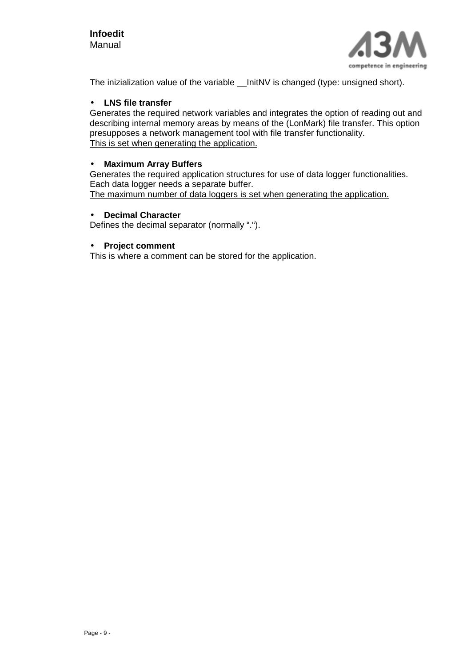

The inizialization value of the variable \_\_InitNV is changed (type: unsigned short).

## • **LNS file transfer**

Generates the required network variables and integrates the option of reading out and describing internal memory areas by means of the (LonMark) file transfer. This option presupposes a network management tool with file transfer functionality. This is set when generating the application.

#### • **Maximum Array Buffers**

Generates the required application structures for use of data logger functionalities. Each data logger needs a separate buffer.

The maximum number of data loggers is set when generating the application.

#### • **Decimal Character**

Defines the decimal separator (normally ".").

#### • **Project comment**

This is where a comment can be stored for the application.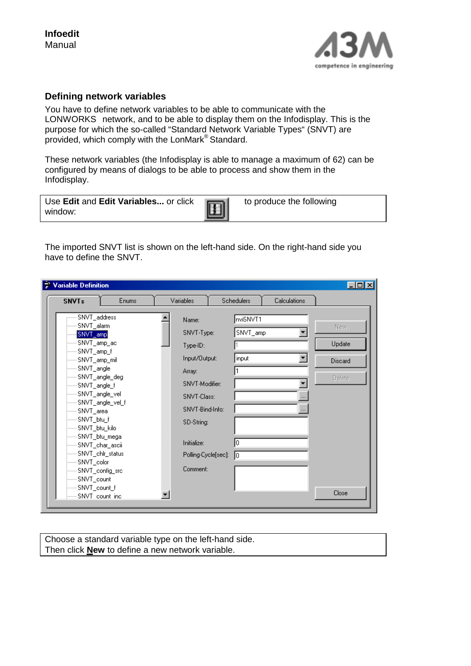<span id="page-9-0"></span>**Infoedit** Manual



## **Defining network variables**

You have to define network variables to be able to communicate with the LONWORKS $<sup>°</sup>$  network, and to be able to display them on the Infodisplay. This is the</sup> purpose for which the so-called "Standard Network Variable Types" (SNVT) are provided, which comply with the LonMark® Standard.

These network variables (the Infodisplay is able to manage a maximum of 62) can be configured by means of dialogs to be able to process and show them in the Infodisplay.

| Use Edit and Edit Variables or click<br>window: | 面 | to produce the following |
|-------------------------------------------------|---|--------------------------|
|                                                 |   |                          |

The imported SNVT list is shown on the left-hand side. On the right-hand side you have to define the SNVT.

| <b>Variable Definition</b>                 |       |                     |            |              | $ \Box$ $\times$ |
|--------------------------------------------|-------|---------------------|------------|--------------|------------------|
| <b>SNVTs</b>                               | Enums | Variables           | Schedulers | Calculations |                  |
| - SNVT_address                             |       | Name:               | nviSNVT1   |              |                  |
| ------ SNVT_alarm<br>SNVT_amp              |       | SNVT-Type:          | SNVT_amp   |              | New              |
| —— SNVT_amp_ac                             |       | $Type-ID:$          |            |              | Update           |
| ----- SNVT_amp_f<br> ----- SNVT_amp_mil    |       | Input/Output:       | input      |              | Discard          |
| :----- SNVT_angle                          |       | Array:              |            |              |                  |
| -SNVT_angle_deg<br>:----- SNVT_angle_f     |       | SNVT-Modifier:      |            |              | <b>Delete</b>    |
| :----- SNVT_angle_vel                      |       | SNVT-Class:         |            |              |                  |
| ---- SNVT_angle_vel_f<br>¦----- SNVT_area  |       | SNVT-Bind-Info:     |            |              |                  |
| -SNVT_btu_f                                |       | SD-String:          |            |              |                  |
| ----- SNVT_btu_kilo<br>---- SNVT_btu_mega  |       |                     |            |              |                  |
| ├──SNVT_char_ascii                         |       | Initialize:         | I٥         |              |                  |
| ├──SNVT_chlr_status<br> ----- SNVT_color   |       | Polling-Cycle[sec]: | lo.        |              |                  |
| :----- SNVT_config_src                     |       | Comment:            |            |              |                  |
| -SNVT_count                                |       |                     |            |              |                  |
| ----- SNVT_count_f<br>------SNVT count inc |       |                     |            |              | Close            |

Choose a standard variable type on the left-hand side. Then click **New** to define a new network variable.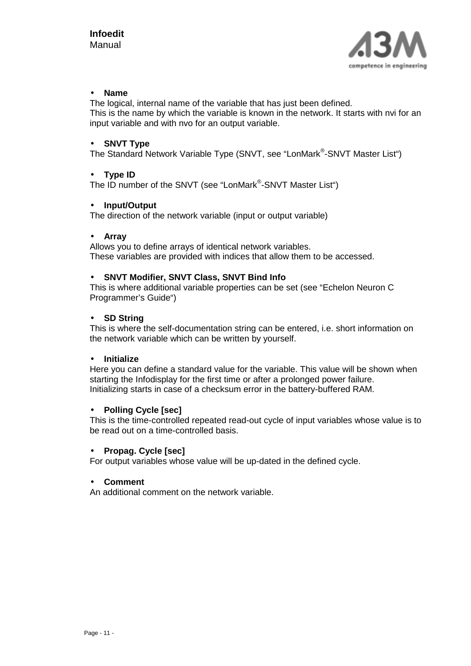

#### • **Name**

The logical, internal name of the variable that has just been defined.

This is the name by which the variable is known in the network. It starts with nvi for an input variable and with nvo for an output variable.

#### • **SNVT Type**

The Standard Network Variable Type (SNVT, see "LonMark® -SNVT Master List")

#### • **Type ID**

The ID number of the SNVT (see "LonMark<sup>®</sup>-SNVT Master List")

#### • **Input/Output**

The direction of the network variable (input or output variable)

#### • **Array**

Allows you to define arrays of identical network variables. These variables are provided with indices that allow them to be accessed.

#### • **SNVT Modifier, SNVT Class, SNVT Bind Info**

This is where additional variable properties can be set (see "Echelon Neuron C Programmer's Guide")

#### • **SD String**

This is where the self-documentation string can be entered, i.e. short information on the network variable which can be written by yourself.

#### • **Initialize**

Here you can define a standard value for the variable. This value will be shown when starting the Infodisplay for the first time or after a prolonged power failure. Initializing starts in case of a checksum error in the battery-buffered RAM.

## • **Polling Cycle [sec]**

This is the time-controlled repeated read-out cycle of input variables whose value is to be read out on a time-controlled basis.

#### • **Propag. Cycle [sec]**

For output variables whose value will be up-dated in the defined cycle.

#### • **Comment**

An additional comment on the network variable.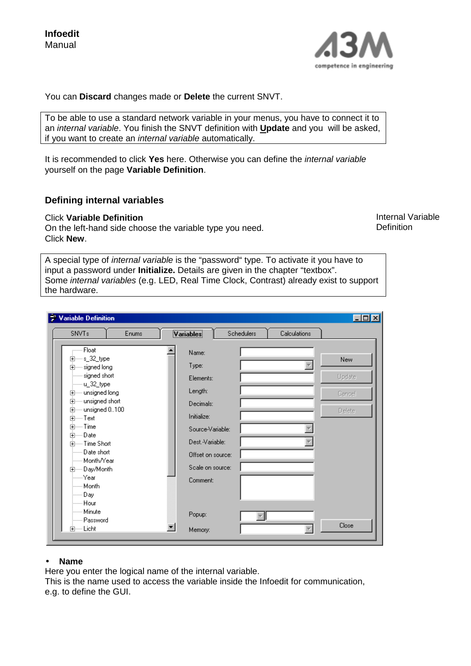

<span id="page-11-0"></span>You can **Discard** changes made or **Delete** the current SNVT.

To be able to use a standard network variable in your menus, you have to connect it to an *internal variable*. You finish the SNVT definition with **Update** and you will be asked, if you want to create an *internal variable* automatically.

It is recommended to click **Yes** here. Otherwise you can define the *internal variable* yourself on the page **Variable Definition**.

## **Defining internal variables**

Click **Variable Definition**

On the left-hand side choose the variable type you need. Click **New**.

A special type of *internal variable* is the "password" type. To activate it you have to input a password under **Initialize.** Details are given in the chapter "textbox". Some *internal variables* (e.g. LED, Real Time Clock, Contrast) already exist to support the hardware.

| <b>Variable Definition</b><br>÷.                                                                                                                                                                                                                                                                                                     |                                                                                                                                                                | $-$ lol $\times$                          |
|--------------------------------------------------------------------------------------------------------------------------------------------------------------------------------------------------------------------------------------------------------------------------------------------------------------------------------------|----------------------------------------------------------------------------------------------------------------------------------------------------------------|-------------------------------------------|
| <b>SNVTs</b><br>Enums                                                                                                                                                                                                                                                                                                                | Variables<br>Schedulers<br><b>Calculations</b>                                                                                                                 |                                           |
| Float<br>由-----s_32_type<br>由  signed long<br>├── signed short<br>├── u_32_type<br>由…… unsigned long<br>主······ unsigned short<br>由----- unsigned 0100<br>直······ Text<br>中······ Time<br>中……Date<br>中…… Time Short<br>└── Date short<br>i——Month∧Year<br>由……Day/Month<br>i------Year<br>i----- Month<br> ------ Day<br>i------ Hour | Name:<br>Type:<br>Elements:<br>Length:<br>Decimals:<br>Initialize:<br>Source-Variable:<br>Dest.-Variable:<br>Offset on source:<br>Scale on source:<br>Comment: | New.<br>Update<br>Cancel<br><b>Delete</b> |
| l—— Minute<br><b>Electric Password</b>                                                                                                                                                                                                                                                                                               | Popup:                                                                                                                                                         | Close                                     |
| 由······ Licht                                                                                                                                                                                                                                                                                                                        | Memory:                                                                                                                                                        |                                           |

## • **Name**

Here you enter the logical name of the internal variable.

This is the name used to access the variable inside the Infoedit for communication, e.g. to define the GUI.

Internal Variable **Definition**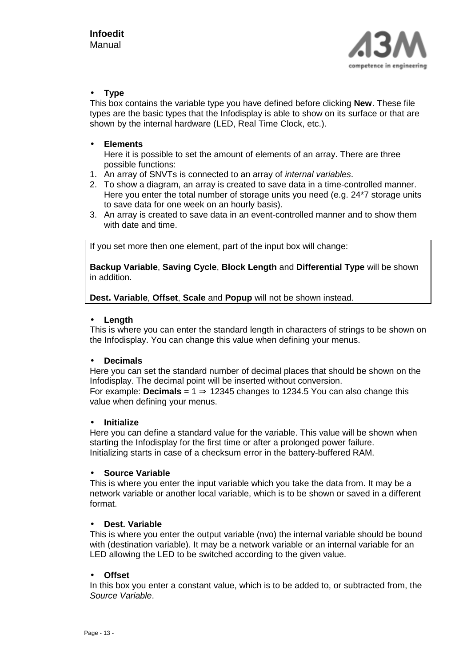

## • **Type**

This box contains the variable type you have defined before clicking **New**. These file types are the basic types that the Infodisplay is able to show on its surface or that are shown by the internal hardware (LED, Real Time Clock, etc.).

## • **Elements**

Here it is possible to set the amount of elements of an array. There are three possible functions:

- 1. An array of SNVTs is connected to an array of *internal variables*.
- 2. To show a diagram, an array is created to save data in a time-controlled manner. Here you enter the total number of storage units you need (e.g. 24\*7 storage units to save data for one week on an hourly basis).
- 3. An array is created to save data in an event-controlled manner and to show them with date and time.

If you set more then one element, part of the input box will change:

**Backup Variable**, **Saving Cycle**, **Block Length** and **Differential Type** will be shown in addition.

**Dest. Variable**, **Offset**, **Scale** and **Popup** will not be shown instead.

## • **Length**

This is where you can enter the standard length in characters of strings to be shown on the Infodisplay. You can change this value when defining your menus.

## • **Decimals**

Here you can set the standard number of decimal places that should be shown on the Infodisplay. The decimal point will be inserted without conversion. For example: **Decimals** =  $1 \Rightarrow 12345$  changes to 1234.5 You can also change this value when defining your menus.

## • **Initialize**

Here you can define a standard value for the variable. This value will be shown when starting the Infodisplay for the first time or after a prolonged power failure. Initializing starts in case of a checksum error in the battery-buffered RAM.

## • **Source Variable**

This is where you enter the input variable which you take the data from. It may be a network variable or another local variable, which is to be shown or saved in a different format.

## • **Dest. Variable**

This is where you enter the output variable (nvo) the internal variable should be bound with (destination variable). It may be a network variable or an internal variable for an LED allowing the LED to be switched according to the given value.

## • **Offset**

In this box you enter a constant value, which is to be added to, or subtracted from, the *Source Variable*.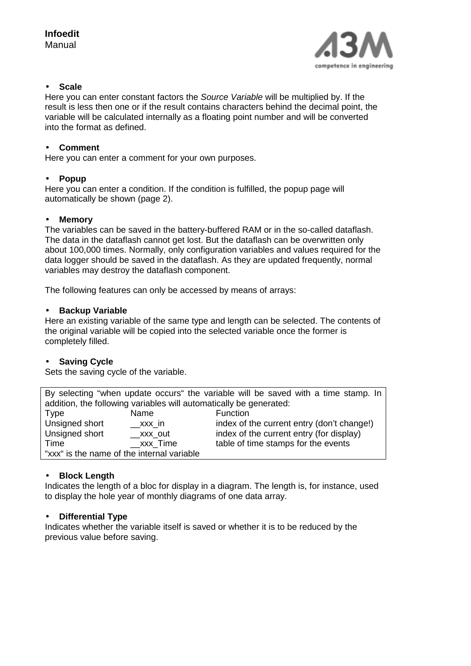

#### • **Scale**

Here you can enter constant factors the *Source Variable* will be multiplied by. If the result is less then one or if the result contains characters behind the decimal point, the variable will be calculated internally as a floating point number and will be converted into the format as defined.

## • **Comment**

Here you can enter a comment for your own purposes.

#### • **Popup**

Here you can enter a condition. If the condition is fulfilled, the popup page will automatically be shown (page 2).

#### • **Memory**

The variables can be saved in the battery-buffered RAM or in the so-called dataflash. The data in the dataflash cannot get lost. But the dataflash can be overwritten only about 100,000 times. Normally, only configuration variables and values required for the data logger should be saved in the dataflash. As they are updated frequently, normal variables may destroy the dataflash component.

The following features can only be accessed by means of arrays:

#### • **Backup Variable**

Here an existing variable of the same type and length can be selected. The contents of the original variable will be copied into the selected variable once the former is completely filled.

## **Saving Cycle**

Sets the saving cycle of the variable.

|                                            |                                                                    | By selecting "when update occurs" the variable will be saved with a time stamp. In |  |  |
|--------------------------------------------|--------------------------------------------------------------------|------------------------------------------------------------------------------------|--|--|
|                                            | addition, the following variables will automatically be generated: |                                                                                    |  |  |
| <b>Type</b>                                | Name                                                               | Function                                                                           |  |  |
| Unsigned short                             | xxx in                                                             | index of the current entry (don't change!)                                         |  |  |
| Unsigned short                             | xxx out                                                            | index of the current entry (for display)                                           |  |  |
| Time                                       | xxx Time                                                           | table of time stamps for the events                                                |  |  |
| "xxx" is the name of the internal variable |                                                                    |                                                                                    |  |  |

## • **Block Length**

Indicates the length of a bloc for display in a diagram. The length is, for instance, used to display the hole year of monthly diagrams of one data array.

## • **Differential Type**

Indicates whether the variable itself is saved or whether it is to be reduced by the previous value before saving.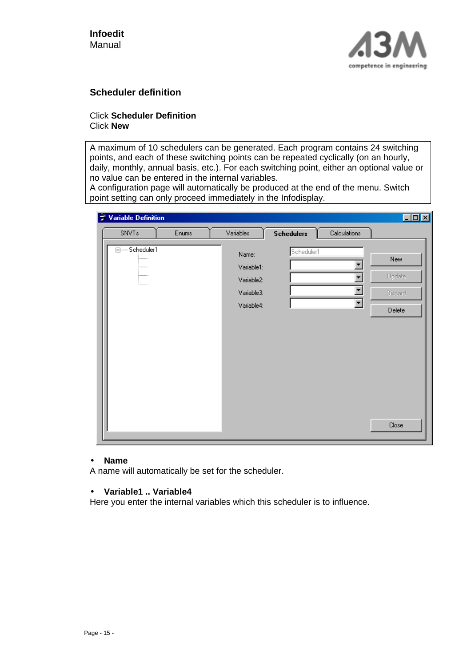

# <span id="page-14-0"></span>**Scheduler definition**

#### Click **Scheduler Definition** Click **New**

A maximum of 10 schedulers can be generated. Each program contains 24 switching points, and each of these switching points can be repeated cyclically (on an hourly, daily, monthly, annual basis, etc.). For each switching point, either an optional value or no value can be entered in the internal variables.

A configuration page will automatically be produced at the end of the menu. Switch point setting can only proceed immediately in the Infodisplay.

| $\frac{20}{3}$ Variable Definition                   |                                                               |                                         | $\Box$ D $\times$                  |
|------------------------------------------------------|---------------------------------------------------------------|-----------------------------------------|------------------------------------|
| <b>SNVTs</b>                                         | Variables<br>Enums                                            | <b>Schedulers</b><br>Calculations       |                                    |
| 日······ Scheduler1<br><u>:</u><br><u>:</u><br>:<br>: | Name:<br>Variable1:<br>Variable2:<br>Variable3:<br>Variable4: | Scheduler1<br>T<br>$\blacktriangledown$ | New<br>Update<br>Discard<br>Delete |
|                                                      |                                                               |                                         | Close                              |

#### • **Name**

A name will automatically be set for the scheduler.

#### • **Variable1 .. Variable4**

Here you enter the internal variables which this scheduler is to influence.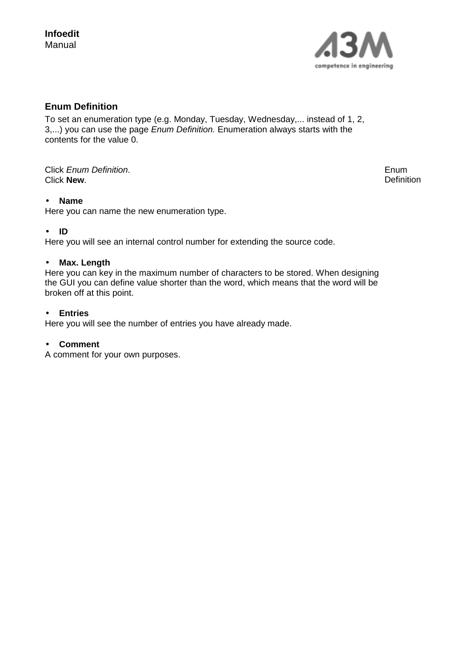

# <span id="page-15-0"></span>**Enum Definition**

To set an enumeration type (e.g. Monday, Tuesday, Wednesday,... instead of 1, 2, 3,...) you can use the page *Enum Definition.* Enumeration always starts with the contents for the value 0.

Click *Enum Definition*. Click **New***.*

Enum **Definition** 

## • **Name**

Here you can name the new enumeration type.

## • **ID**

Here you will see an internal control number for extending the source code.

#### • **Max. Length**

Here you can key in the maximum number of characters to be stored. When designing the GUI you can define value shorter than the word, which means that the word will be broken off at this point.

#### • **Entries**

Here you will see the number of entries you have already made.

#### • **Comment**

A comment for your own purposes.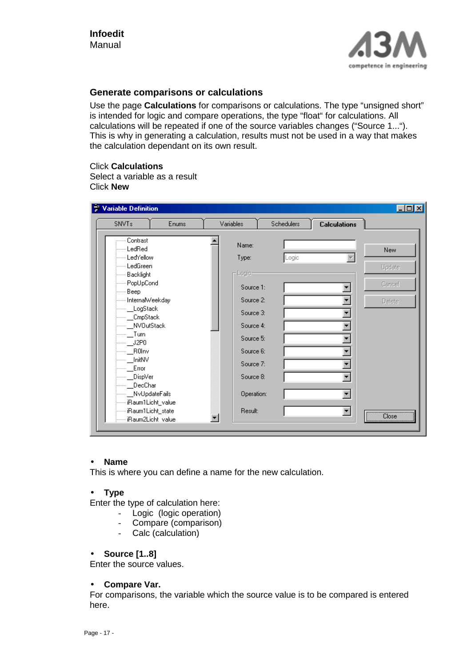

# <span id="page-16-0"></span>**Generate comparisons or calculations**

Use the page **Calculations** for comparisons or calculations. The type "unsigned short" is intended for logic and compare operations, the type "float" for calculations. All calculations will be repeated if one of the source variables changes ("Source 1..."). This is why in generating a calculation, results must not be used in a way that makes the calculation dependant on its own result.

#### Click **Calculations**

Select a variable as a result Click **New**

| Variable Definition                                                                                                                                                                                                                                                                                                                                                                                                                            |                                                                                                                                                                  |                   |                     |                                                              |
|------------------------------------------------------------------------------------------------------------------------------------------------------------------------------------------------------------------------------------------------------------------------------------------------------------------------------------------------------------------------------------------------------------------------------------------------|------------------------------------------------------------------------------------------------------------------------------------------------------------------|-------------------|---------------------|--------------------------------------------------------------|
| <b>SNVTs</b><br>Enums                                                                                                                                                                                                                                                                                                                                                                                                                          | Variables                                                                                                                                                        | <b>Schedulers</b> | <b>Calculations</b> |                                                              |
| Contrast<br>------- LedRed<br>i----- LedYellow<br>i------ LedGreen<br>¦------ Backlight<br> ------ PopUpCond<br>¦------ Beep<br>InternalWeekday<br>├──_LogStack<br> ------ __CmpStack<br>NVOutStack<br>:<br>Turn<br><br>J2P0<br>.<br><b>B</b> Olny<br><br>InitNV<br><br>----------- Error<br>├── DispVer<br>i--------- DecChar<br> ------ __NvUpdateFails<br> ----- iRaum1Licht_value<br>¦----- iRaum1Licht_state<br>i------ iRaum2Licht_value | Name:<br>Type:<br>Logic-<br>Source 1:<br>Source 2:<br>Source 3:<br>Source 4:<br>Source 5:<br>Source 6:<br>Source 7:<br>Source 8:<br>Operation:<br><b>Result:</b> | Logic             |                     | <b>New</b><br>Update<br>Cancel<br><b>Delete</b><br><br>Close |

#### • **Name**

This is where you can define a name for the new calculation.

#### • **Type**

Enter the type of calculation here:

- Logic (logic operation)
- Compare (comparison)
- Calc (calculation)

#### • **Source [1..8]**

Enter the source values.

## • **Compare Var.**

For comparisons, the variable which the source value is to be compared is entered here.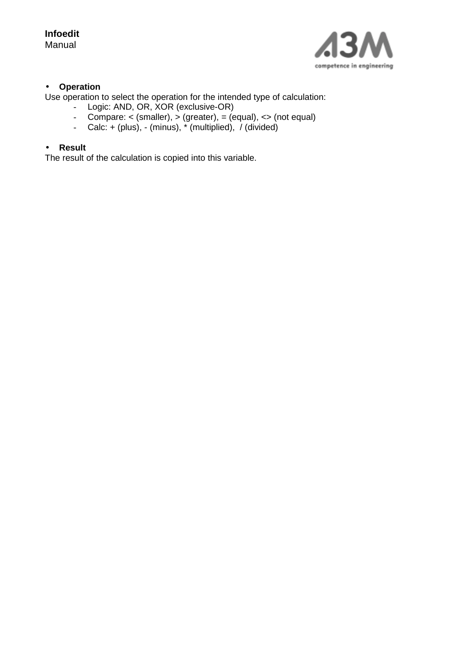

# • **Operation**

Use operation to select the operation for the intended type of calculation:

- Logic: AND, OR, XOR (exclusive-OR)
- Compare: < (smaller), > (greater), = (equal), <> (not equal)
- Calc: + (plus), (minus), \* (multiplied), / (divided)

## • **Result**

The result of the calculation is copied into this variable.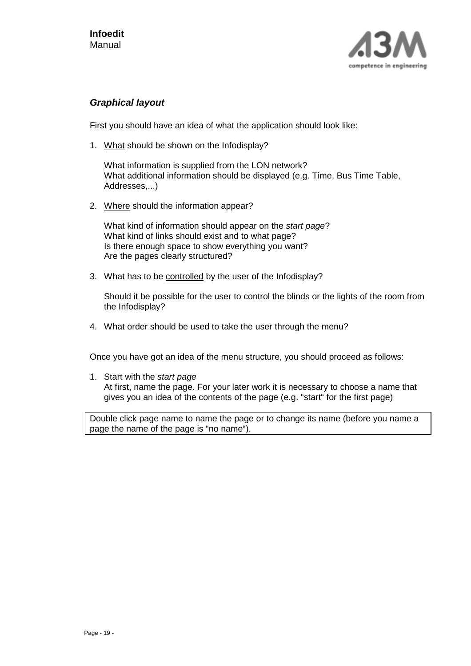

# <span id="page-18-0"></span>*Graphical layout*

First you should have an idea of what the application should look like:

1. What should be shown on the Infodisplay?

What information is supplied from the LON network? What additional information should be displayed (e.g. Time, Bus Time Table, Addresses,...)

2. Where should the information appear?

What kind of information should appear on the *start page*? What kind of links should exist and to what page? Is there enough space to show everything you want? Are the pages clearly structured?

3. What has to be controlled by the user of the Infodisplay?

Should it be possible for the user to control the blinds or the lights of the room from the Infodisplay?

4. What order should be used to take the user through the menu?

Once you have got an idea of the menu structure, you should proceed as follows:

1. Start with the *start page* At first, name the page. For your later work it is necessary to choose a name that gives you an idea of the contents of the page (e.g. "start" for the first page)

Double click page name to name the page or to change its name (before you name a page the name of the page is "no name").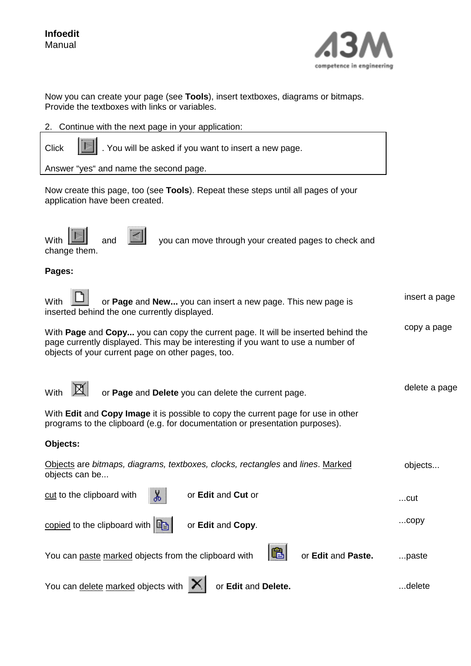

Now you can create your page (see **Tools**), insert textboxes, diagrams or bitmaps. Provide the textboxes with links or variables.

| 2. Continue with the next page in your application:                                                                                                                                                                       |               |
|---------------------------------------------------------------------------------------------------------------------------------------------------------------------------------------------------------------------------|---------------|
| . You will be asked if you want to insert a new page.<br><b>Click</b>                                                                                                                                                     |               |
| Answer "yes" and name the second page.                                                                                                                                                                                    |               |
| Now create this page, too (see Tools). Repeat these steps until all pages of your<br>application have been created.                                                                                                       |               |
| you can move through your created pages to check and<br><b>With</b><br>and<br>change them.                                                                                                                                |               |
| Pages:                                                                                                                                                                                                                    |               |
| or Page and New you can insert a new page. This new page is<br>With<br>inserted behind the one currently displayed.                                                                                                       | insert a page |
| With Page and Copy you can copy the current page. It will be inserted behind the<br>page currently displayed. This may be interesting if you want to use a number of<br>objects of your current page on other pages, too. | copy a page   |
|                                                                                                                                                                                                                           |               |
| or Page and Delete you can delete the current page.<br>With                                                                                                                                                               | delete a page |
| With Edit and Copy Image it is possible to copy the current page for use in other<br>programs to the clipboard (e.g. for documentation or presentation purposes).                                                         |               |
| Objects:                                                                                                                                                                                                                  |               |
| Objects are bitmaps, diagrams, textboxes, clocks, rectangles and lines. Marked<br>objects can be                                                                                                                          | objects       |
| cut to the clipboard with<br>or Edit and Cut or<br>òб                                                                                                                                                                     | cut           |
| copied to the clipboard with $\boxed{=}$<br>or Edit and Copy.                                                                                                                                                             | $$ copy       |
| or Edit and Paste.<br>You can paste marked objects from the clipboard with                                                                                                                                                | paste         |
| or Edit and Delete.<br>You can delete marked objects with                                                                                                                                                                 | delete        |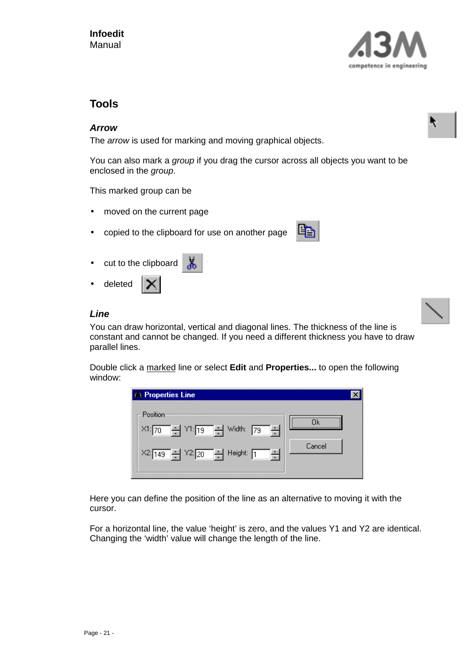

# <span id="page-20-0"></span>**Tools**

## *Arrow*

The *arrow* is used for marking and moving graphical objects.

You can also mark a *group* if you drag the cursor across all objects you want to be enclosed in the *group*.

LÐ

This marked group can be

- moved on the current page
- copied to the clipboard for use on another page
- $\bullet$  cut to the clipboard
- deleted

## *Line*

You can draw horizontal, vertical and diagonal lines. The thickness of the line is constant and cannot be changed. If you need a different thickness you have to draw parallel lines.

Double click a marked line or select **Edit** and **Properties...** to open the following window:

| <b>A Properties Line</b>                                                            |        |
|-------------------------------------------------------------------------------------|--------|
| ⊫ Position<br>X1: 70 - 즉 Y1: 19 - 즉 Width: 79<br>三日<br>×2: 149 국 Y2: 20 국 Height: 1 | Cancel |

Here you can define the position of the line as an alternative to moving it with the cursor.

For a horizontal line, the value 'height' is zero, and the values Y1 and Y2 are identical. Changing the 'width' value will change the length of the line.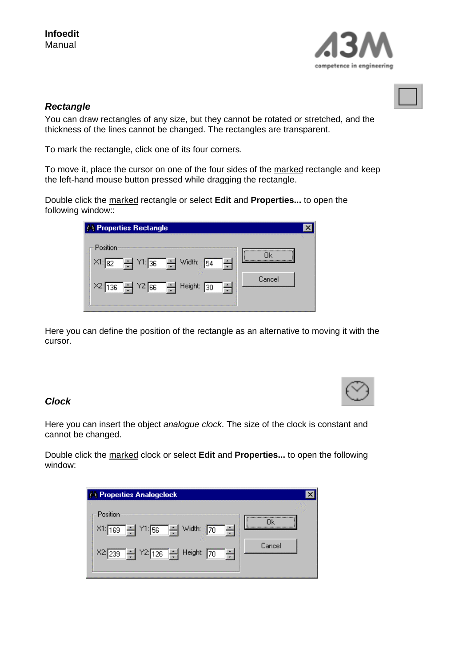

## <span id="page-21-0"></span>*Rectangle*

You can draw rectangles of any size, but they cannot be rotated or stretched, and the thickness of the lines cannot be changed. The rectangles are transparent.

To mark the rectangle, click one of its four corners.

To move it, place the cursor on one of the four sides of the marked rectangle and keep the left-hand mouse button pressed while dragging the rectangle.

| Double click the marked rectangle or select <b>Edit</b> and <b>Properties</b> to open the |  |  |
|-------------------------------------------------------------------------------------------|--|--|
| following window::                                                                        |  |  |

| <b>A Properties Rectangle</b>                                               |        |
|-----------------------------------------------------------------------------|--------|
| Position:<br>X1: 82 - Y1: 36 - Width: 54<br>X2: 136 - Y2: 66 - 픽 Height: 30 | Cancel |

Here you can define the position of the rectangle as an alternative to moving it with the cursor.

# *Clock*

Here you can insert the object *analogue clock*. The size of the clock is constant and cannot be changed.

Double click the marked clock or select **Edit** and **Properties...** to open the following window:

| <b>TA</b> Properties Analogclock                                                                                         |        |
|--------------------------------------------------------------------------------------------------------------------------|--------|
| Position<br>  X1: <mark>169 - 국</mark> Y1: <mark>56 - 국</mark> Width: <i>1</i> 70<br>÷<br>X2: 239 국 Y2: 126 국 Height: 70 | Cancel |



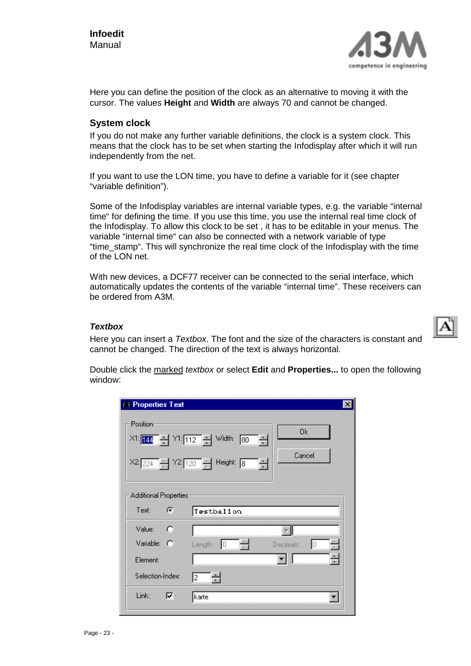

<span id="page-22-0"></span>Here you can define the position of the clock as an alternative to moving it with the cursor. The values **Height** and **Width** are always 70 and cannot be changed.

## **System clock**

If you do not make any further variable definitions, the clock is a system clock. This means that the clock has to be set when starting the Infodisplay after which it will run independently from the net.

If you want to use the LON time, you have to define a variable for it (see chapter "variable definition").

Some of the Infodisplay variables are internal variable types, e.g. the variable "internal time" for defining the time. If you use this time, you use the internal real time clock of the Infodisplay. To allow this clock to be set , it has to be editable in your menus. The variable "internal time" can also be connected with a network variable of type "time\_stamp". This will synchronize the real time clock of the Infodisplay with the time of the LON net.

With new devices, a DCF77 receiver can be connected to the serial interface, which automatically updates the contents of the variable "internal time". These receivers can be ordered from A3M.

## *Textbox*

Here you can insert a *Textbox*. The font and the size of the characters is constant and cannot be changed. The direction of the text is always horizontal.

Double click the marked *textbox* or select **Edit** and **Properties...** to open the following window:

| <b>Properties Text</b> |                  |                       |                                                                                | $\mathbf{x}$        |
|------------------------|------------------|-----------------------|--------------------------------------------------------------------------------|---------------------|
| Position               |                  |                       | X1: 144 - Y1: 112 - Width: 80<br>Ή<br>X2: 224 Y2: 120 Height 8<br>$\mathbf{H}$ | 0k<br>Cancel        |
|                        |                  | Additional Properties |                                                                                |                     |
| Text:                  |                  | œ.                    | Testballon                                                                     |                     |
| Value:                 |                  | o                     |                                                                                |                     |
|                        | Variable: C      |                       | 숙<br>Length:<br>ю                                                              | ÷<br>Decimals:<br>ю |
| Element:               |                  |                       |                                                                                | ÷                   |
|                        | Selection-Index: |                       | 극<br>I2                                                                        |                     |
| Link:                  |                  | ⊽                     | karte                                                                          |                     |

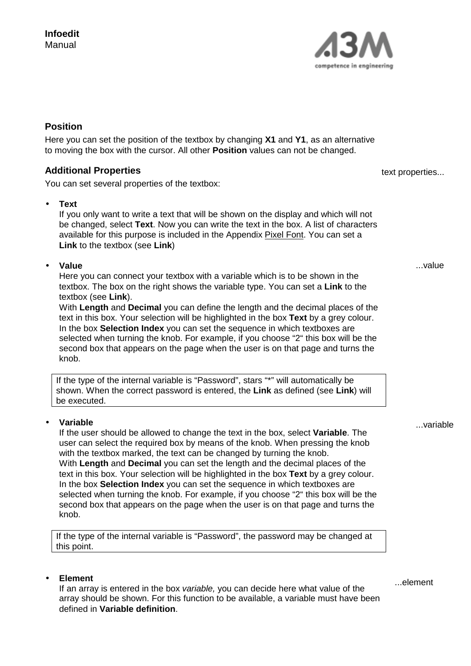

# <span id="page-23-0"></span>**Position**

Here you can set the position of the textbox by changing **X1** and **Y1**, as an alternative to moving the box with the cursor. All other **Position** values can not be changed.

## **Additional Properties**

You can set several properties of the textbox:

#### • **Text**

If you only want to write a text that will be shown on the display and which will not be changed, select **Text**. Now you can write the text in the box. A list of characters available for this purpose is included in the Appendix Pixel Font. You can set a **Link** to the textbox (see **Link**)

#### • **Value**

Here you can connect your textbox with a variable which is to be shown in the textbox. The box on the right shows the variable type. You can set a **Link** to the textbox (see **Link**).

With **Length** and **Decimal** you can define the length and the decimal places of the text in this box. Your selection will be highlighted in the box **Text** by a grey colour. In the box **Selection Index** you can set the sequence in which textboxes are selected when turning the knob. For example, if you choose "2" this box will be the second box that appears on the page when the user is on that page and turns the knob.

If the type of the internal variable is "Password", stars "\*" will automatically be shown. When the correct password is entered, the **Link** as defined (see **Link**) will be executed.

#### • **Variable**

If the user should be allowed to change the text in the box, select **Variable**. The user can select the required box by means of the knob. When pressing the knob with the textbox marked, the text can be changed by turning the knob. With **Length** and **Decimal** you can set the length and the decimal places of the text in this box. Your selection will be highlighted in the box **Text** by a grey colour. In the box **Selection Index** you can set the sequence in which textboxes are selected when turning the knob. For example, if you choose "2" this box will be the second box that appears on the page when the user is on that page and turns the knob.

If the type of the internal variable is "Password", the password may be changed at this point.

#### • **Element**

If an array is entered in the box *variable,* you can decide here what value of the array should be shown. For this function to be available, a variable must have been defined in **Variable definition**.

text properties...

...value

...variable

...element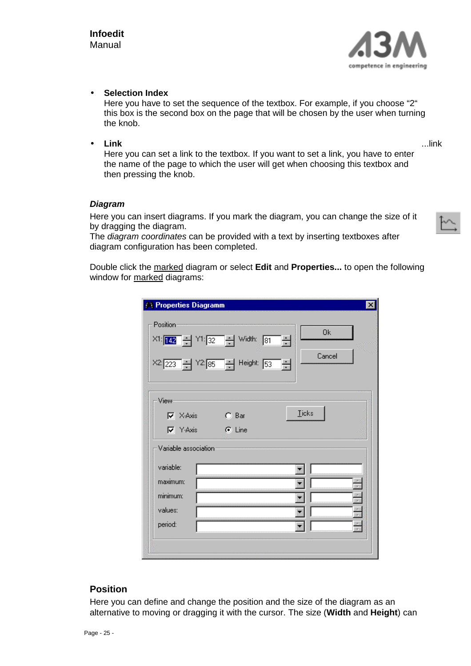

## <span id="page-24-0"></span>• **Selection Index**

Here you have to set the sequence of the textbox. For example, if you choose "2" this box is the second box on the page that will be chosen by the user when turning the knob.

#### • **Link**

...link

Here you can set a link to the textbox. If you want to set a link, you have to enter the name of the page to which the user will get when choosing this textbox and then pressing the knob.

## *Diagram*

Here you can insert diagrams. If you mark the diagram, you can change the size of it by dragging the diagram.

The *diagram coordinates* can be provided with a text by inserting textboxes after diagram configuration has been completed.

Double click the marked diagram or select **Edit** and **Properties...** to open the following window for marked diagrams:

| <b>Properties Diagramm</b>                                                |          |   |              | $\vert x \vert$ |
|---------------------------------------------------------------------------|----------|---|--------------|-----------------|
| Position:<br>X1: 142 - Y1: 32 - Width: 81<br>X2 223 - Y2 85 - Height 53 - |          | H | 0k<br>Cancel |                 |
| View<br>$\nabla$ X-Axis $\bullet$ Bar                                     |          |   | <b>Ticks</b> |                 |
| $\nabla$ Y-Axis                                                           | — ⊙ Line |   |              |                 |
| Variable association                                                      |          |   |              |                 |
| variable:                                                                 |          |   |              |                 |
| maximum:                                                                  |          |   |              |                 |
| minimum:                                                                  |          |   |              |                 |
| values:                                                                   |          |   |              |                 |
| period:                                                                   |          |   |              |                 |
|                                                                           |          |   |              |                 |

# **Position**

Here you can define and change the position and the size of the diagram as an alternative to moving or dragging it with the cursor. The size (**Width** and **Height**) can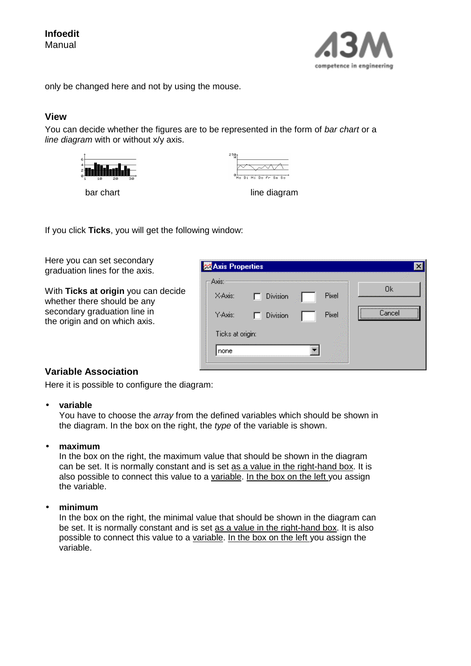<span id="page-25-0"></span>**Infoedit** Manual



only be changed here and not by using the mouse.

## **View**

You can decide whether the figures are to be represented in the form of *bar chart* or a *line diagram* with or without x/y axis.

| 250 <sub>0</sub> |                      |
|------------------|----------------------|
|                  |                      |
|                  |                      |
|                  | Mo Di Mi Do Fr Sa So |

bar chart line diagram

If you click **Ticks**, you will get the following window:

Here you can set secondary graduation lines for the axis.

With **Ticks at origin** you can decide whether there should be any secondary graduation line in the origin and on which axis.



# **Variable Association**

Here it is possible to configure the diagram:

#### • **variable**

You have to choose the *array* from the defined variables which should be shown in the diagram. In the box on the right, the *type* of the variable is shown.

## • **maximum**

In the box on the right, the maximum value that should be shown in the diagram can be set. It is normally constant and is set as a value in the right-hand box. It is also possible to connect this value to a variable. In the box on the left you assign the variable.

## • **minimum**

In the box on the right, the minimal value that should be shown in the diagram can be set. It is normally constant and is set as a value in the right-hand box. It is also possible to connect this value to a variable. In the box on the left you assign the variable.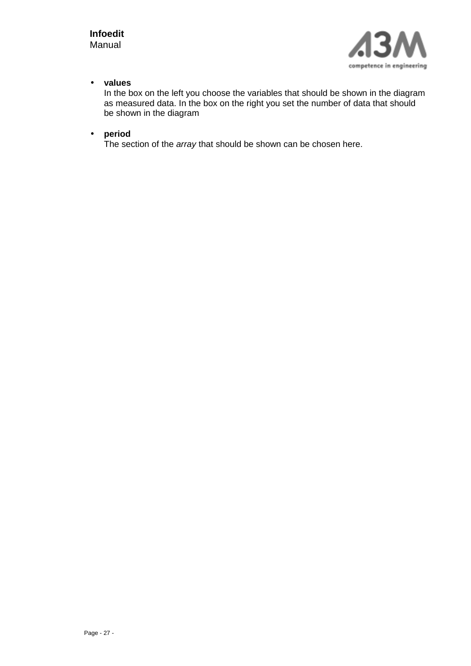

## • **values**

In the box on the left you choose the variables that should be shown in the diagram as measured data. In the box on the right you set the number of data that should be shown in the diagram

## • **period**

The section of the *array* that should be shown can be chosen here.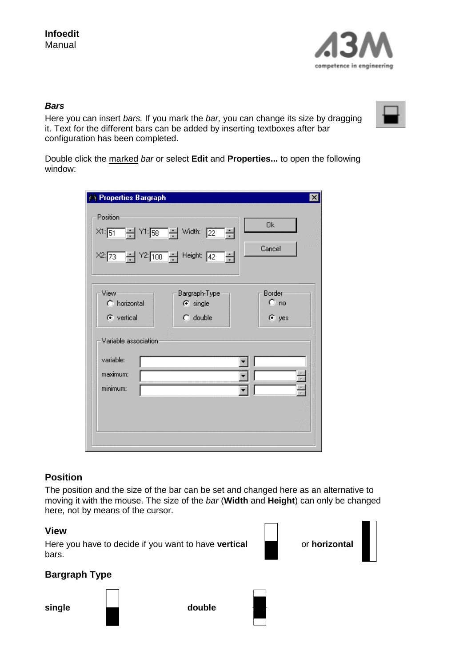

#### <span id="page-27-0"></span>*Bars*

Here you can insert *bars.* If you mark the *bar,* you can change its size by dragging it. Text for the different bars can be added by inserting textboxes after bar configuration has been completed.

Double click the marked *bar* or select **Edit** and **Properties...** to open the following window:

| <sup>1</sup> Properties Bargraph                                                                              | $\mathbf{x}$                             |
|---------------------------------------------------------------------------------------------------------------|------------------------------------------|
| Position<br>X1: 51 - 귀 Y1: 58 - 귀 Width: 22 - 구<br>×2 73 - Y2 100 - Height 42 -                               | 0k<br>Cancel                             |
| View<br>Bargraph-Type<br>C horizontal<br>$\bullet$ single<br>$C$ double<br>C vertical<br>Variable association | Border-<br>$\degree$ no<br>$\bullet$ yes |
| variable:<br>maximum:<br>minimum:                                                                             |                                          |

# **Position**

The position and the size of the bar can be set and changed here as an alternative to moving it with the mouse. The size of the *bar* (**Width** and **Height**) can only be changed here, not by means of the cursor.

## **View**

Here you have to decide if you want to have **vertical Figure 1** or **horizontal** bars.





# **Bargraph Type**

single **double** 



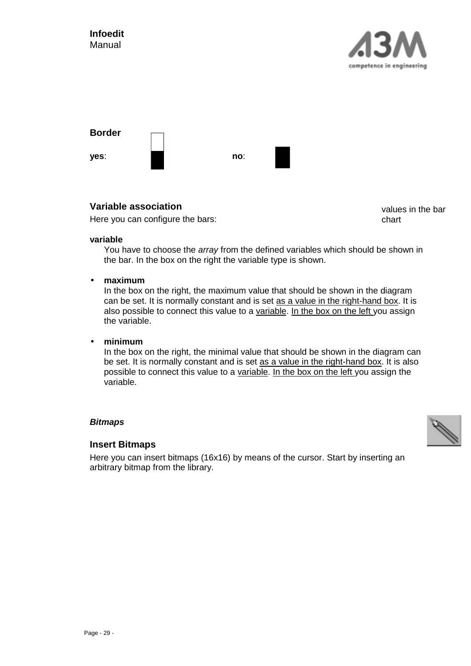## <span id="page-28-0"></span>**Infoedit** Manual



| <b>Border</b> |     |  |
|---------------|-----|--|
| yes:          | no: |  |

# **Variable association**

Here you can configure the bars:

values in the bar chart

#### **variable**

You have to choose the *array* from the defined variables which should be shown in the bar. In the box on the right the variable type is shown.

#### • **maximum**

In the box on the right, the maximum value that should be shown in the diagram can be set. It is normally constant and is set as a value in the right-hand box. It is also possible to connect this value to a variable. In the box on the left you assign the variable.

#### • **minimum**

In the box on the right, the minimal value that should be shown in the diagram can be set. It is normally constant and is set as a value in the right-hand box. It is also possible to connect this value to a variable. In the box on the left you assign the variable.

#### *Bitmaps*

#### **Insert Bitmaps**

Here you can insert bitmaps (16x16) by means of the cursor. Start by inserting an arbitrary bitmap from the library.

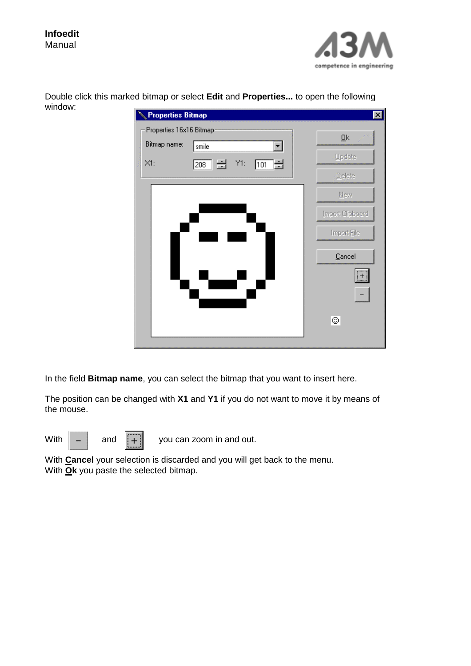

| <b>Properties Bitmap</b>                 | $\mathbf{x}$                       |
|------------------------------------------|------------------------------------|
| Properties 16x16 Bitmap-<br>Bitmap name: | $\underline{\mathsf{O}}\mathsf{k}$ |
| smile<br>208 1 급 M:<br>X1:               | <b>Update</b><br>101 립             |
|                                          | Delete                             |
|                                          | New                                |
|                                          | Import Clipboard                   |
|                                          | Import File                        |
|                                          | Cancel                             |
|                                          | $\lfloor + \rfloor$                |
|                                          |                                    |
|                                          |                                    |
|                                          | ©                                  |

Double click this marked bitmap or select **Edit** and **Properties...** to open the following window:

In the field **Bitmap name**, you can select the bitmap that you want to insert here.

The position can be changed with **X1** and **Y1** if you do not want to move it by means of the mouse.

With  $\begin{vmatrix} - & \cdot & \cdot \\ - & \cdot & \cdot \\ \cdot & \cdot & \cdot \end{vmatrix}$  you can zoom in and out.

With **Cancel** your selection is discarded and you will get back to the menu. With **Ok** you paste the selected bitmap.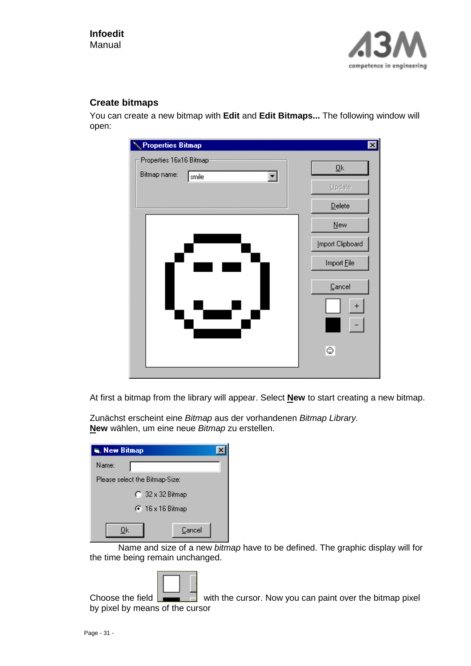

## <span id="page-30-0"></span>**Create bitmaps**

You can create a new bitmap with **Edit** and **Edit Bitmaps...** The following window will open:

| <b>Properties Bitmap</b> | $\vert x \vert$                                                 |
|--------------------------|-----------------------------------------------------------------|
| Properties 16x16 Bitmap- | ₫k                                                              |
| Bitmap name:<br>smile    | Update                                                          |
|                          | $D$ elete                                                       |
|                          | New                                                             |
|                          | Import Clipboard                                                |
|                          | Import File                                                     |
|                          | $\ensuremath{\underline{\mathbb{C}}}$ ancel<br>$\boldsymbol{+}$ |
|                          | ☺                                                               |

At first a bitmap from the library will appear. Select **New** to start creating a new bitmap.

Zunächst erscheint eine *Bitmap* aus der vorhandenen *Bitmap Library.* **New** wählen, um eine neue *Bitmap* zu erstellen.

| <b>R. New Bitmap</b> |                                |        |  |
|----------------------|--------------------------------|--------|--|
| Name:                |                                |        |  |
|                      | Please select the Bitmap-Size: |        |  |
|                      | C 32 x 32 Bitmap               |        |  |
|                      | $6.16 \times 16$ Bitmap        |        |  |
|                      |                                | Cancel |  |

Name and size of a new *bitmap* have to be defined. The graphic display will for the time being remain unchanged.

Choose the field  $\Box$  with the cursor. Now you can paint over the bitmap pixel by pixel by means of the cursor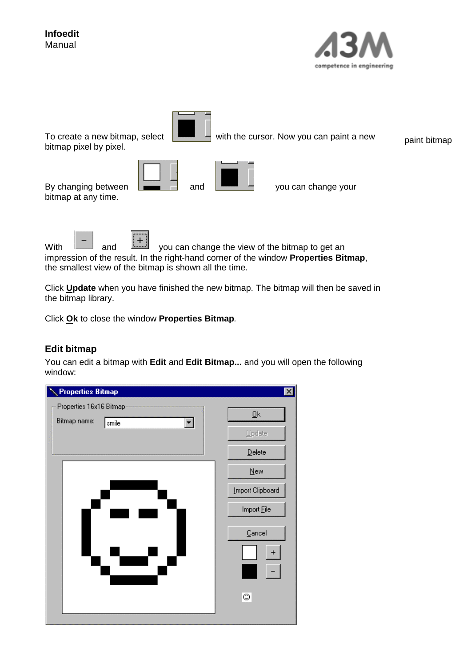

<span id="page-31-0"></span>

Click **Update** when you have finished the new bitmap. The bitmap will then be saved in the bitmap library.

Click **Ok** to close the window **Properties Bitmap***.*

## **Edit bitmap**

You can edit a bitmap with **Edit** and **Edit Bitmap...** and you will open the following window:

| <b>Properties Bitmap</b> | $\vert x \vert$                             |
|--------------------------|---------------------------------------------|
| Properties 16x16 Bitmap  | $\underline{\mathsf{O}}\mathsf{k}$          |
| Bitmap name:<br>smile    |                                             |
|                          | Update                                      |
|                          | $Delete$                                    |
|                          | New                                         |
|                          | Import Clipboard                            |
|                          | Import File                                 |
|                          | $\ensuremath{\underline{\mathbb{C}}}$ ancel |
|                          | $+$                                         |
|                          |                                             |
|                          |                                             |
|                          | ☺                                           |
|                          |                                             |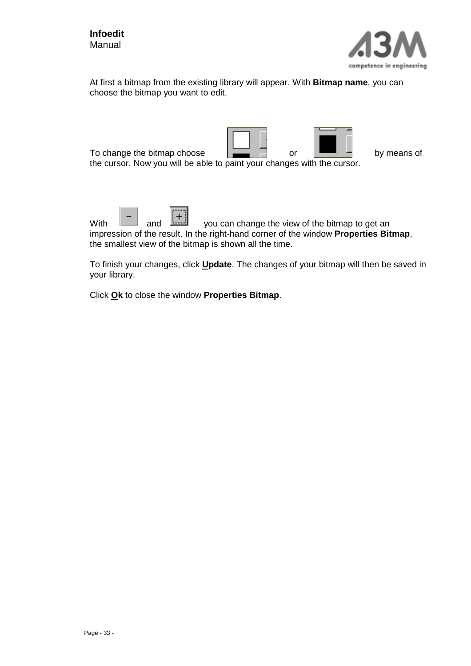

At first a bitmap from the existing library will appear. With **Bitmap name**, you can choose the bitmap you want to edit.



With  $\boxed{\phantom{a}}$  and  $\boxed{\phantom{a}}$  you can change the view of the bitmap to get an impression of the result. In the right-hand corner of the window **Properties Bitmap**, the smallest view of the bitmap is shown all the time.

To finish your changes, click **Update**. The changes of your bitmap will then be saved in your library.

Click **Ok** to close the window **Properties Bitmap**.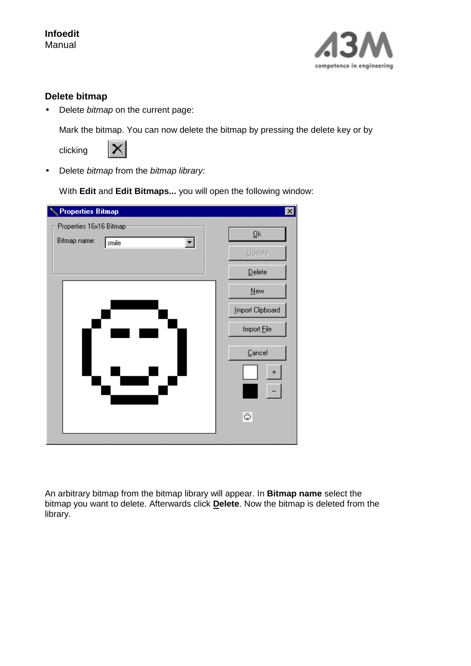<span id="page-33-0"></span>**Infoedit** Manual



## **Delete bitmap**

• Delete *bitmap* on the current page:

Mark the bitmap. You can now delete the bitmap by pressing the delete key or by

clicking



• Delete *bitmap* from the *bitmap library:*

With **Edit** and **Edit Bitmaps...** you will open the following window:

| <b>Properties Bitmap</b> | $\boldsymbol{\mathsf{x}}$               |
|--------------------------|-----------------------------------------|
| Properties 16x16 Bitmap- |                                         |
| Bitmap name:<br>smile    | ₫k                                      |
|                          | Update                                  |
|                          | $Delete$                                |
|                          | New                                     |
|                          | Import Clipboard                        |
|                          | Import File                             |
|                          | $\mathsf{\underline{\mathsf{C}}}$ ancel |
|                          | $\boldsymbol{+}$                        |
|                          |                                         |
|                          | $\circledcirc$                          |
|                          |                                         |

An arbitrary bitmap from the bitmap library will appear. In **Bitmap name** select the bitmap you want to delete. Afterwards click **Delete**. Now the bitmap is deleted from the library.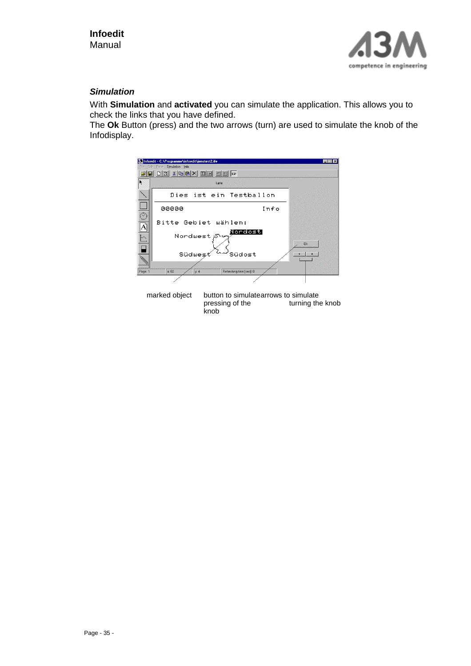

## <span id="page-34-0"></span>*Simulation*

With **Simulation** and **activated** you can simulate the application. This allows you to check the links that you have defined.

The **Ok** Button (press) and the two arrows (turn) are used to simulate the knob of the Infodisplay.

| <b>File</b> | Infoedit - C:\Programme\infoedit\jenstest2.ife<br>Edit Page Simulation Info<br>$ X $ to $ B X $<br><b>m</b> ol<br>l া<br>ln≫ |                          |           |
|-------------|------------------------------------------------------------------------------------------------------------------------------|--------------------------|-----------|
|             | karte                                                                                                                        |                          |           |
| へん          | Dies ist ein Testballon                                                                                                      |                          |           |
|             | 00000                                                                                                                        | $In fo$                  |           |
|             | Bitte Gebiet wählen:                                                                                                         |                          |           |
|             | Nonduest Ave                                                                                                                 | Nordost                  | <b>Ok</b> |
|             | Südues⁄t                                                                                                                     | Südost                   |           |
| Page: 1     | x 82<br>v: 4                                                                                                                 | Refreshing time [sec]: 0 |           |

marked object button to simulatearrows to simulate pressing of the turning the knob knob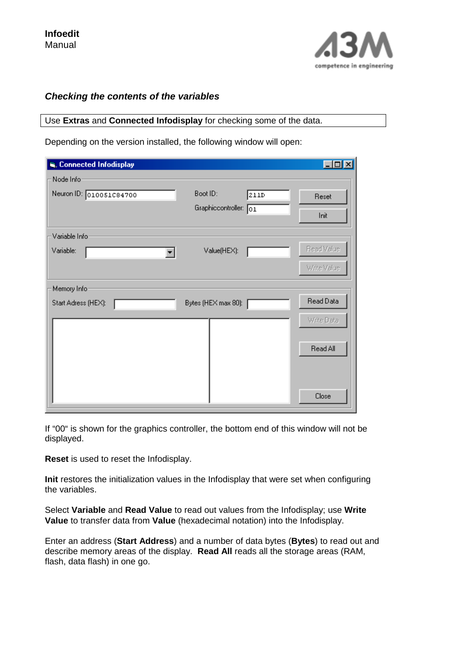

## <span id="page-35-0"></span>*Checking the contents of the variables*

## Use **Extras** and **Connected Infodisplay** for checking some of the data.

Depending on the version installed, the following window will open:

| Connected Infodisplay                |                                   |      |                                     |
|--------------------------------------|-----------------------------------|------|-------------------------------------|
| Node Info<br>Neuron ID: 010051C84700 | Boot ID:<br>Graphiccontroller: 01 | 211D | Reset<br>Init                       |
| Variable Infor<br>Variable:          | Value(HEX):                       |      | Read Value<br>Write Value           |
| Memory Info<br>Start Adress (HEX):   | Bytes (HEX max 80):               |      | Read Data<br>Write Data<br>Read All |
|                                      |                                   |      | Close                               |

If "00" is shown for the graphics controller, the bottom end of this window will not be displayed.

**Reset** is used to reset the Infodisplay.

**Init** restores the initialization values in the Infodisplay that were set when configuring the variables.

Select **Variable** and **Read Value** to read out values from the Infodisplay; use **Write Value** to transfer data from **Value** (hexadecimal notation) into the Infodisplay.

Enter an address (**Start Address**) and a number of data bytes (**Bytes**) to read out and describe memory areas of the display. **Read All** reads all the storage areas (RAM, flash, data flash) in one go.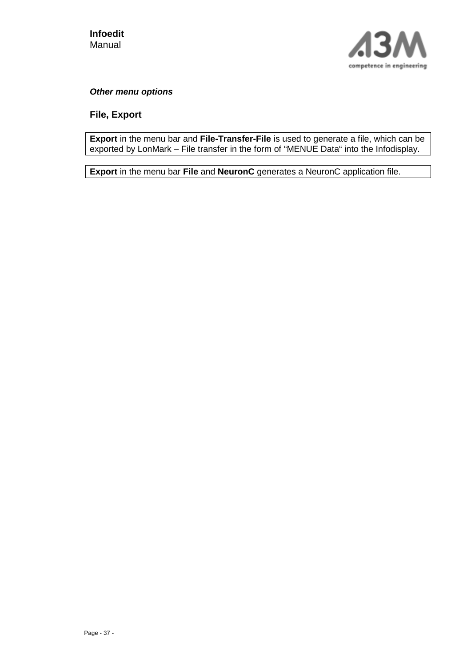

# <span id="page-36-0"></span>*Other menu options*

# **File, Export**

**Export** in the menu bar and **File-Transfer-File** is used to generate a file, which can be exported by LonMark – File transfer in the form of "MENUE Data" into the Infodisplay.

**Export** in the menu bar **File** and **NeuronC** generates a NeuronC application file.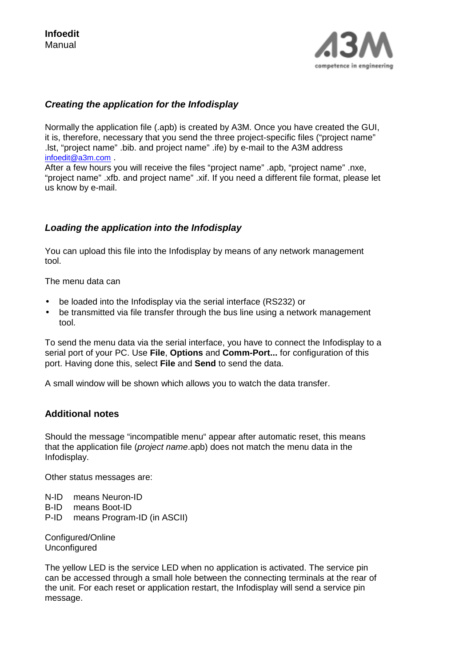

## <span id="page-37-0"></span>*Creating the application for the Infodisplay*

Normally the application file (.apb) is created by A3M. Once you have created the GUI, it is, therefore, necessary that you send the three project-specific files ("project name" .lst, "project name" .bib. and project name" .ife) by e-mail to the A3M address [infoedit@a3m.com](mailto:infoedit@a3m.com) .

After a few hours you will receive the files "project name" .apb, "project name" .nxe, "project name" .xfb. and project name" .xif. If you need a different file format, please let us know by e-mail.

## *Loading the application into the Infodisplay*

You can upload this file into the Infodisplay by means of any network management tool.

The menu data can

- be loaded into the Infodisplay via the serial interface (RS232) or
- be transmitted via file transfer through the bus line using a network management tool.

To send the menu data via the serial interface, you have to connect the Infodisplay to a serial port of your PC. Use **File**, **Options** and **Comm-Port...** for configuration of this port. Having done this, select **File** and **Send** to send the data.

A small window will be shown which allows you to watch the data transfer.

# **Additional notes**

Should the message "incompatible menu" appear after automatic reset, this means that the application file (*project name*.apb) does not match the menu data in the Infodisplay.

Other status messages are:

- N-ID means Neuron-ID
- B-ID means Boot-ID
- P-ID means Program-ID (in ASCII)

Configured/Online Unconfigured

The yellow LED is the service LED when no application is activated. The service pin can be accessed through a small hole between the connecting terminals at the rear of the unit. For each reset or application restart, the Infodisplay will send a service pin message.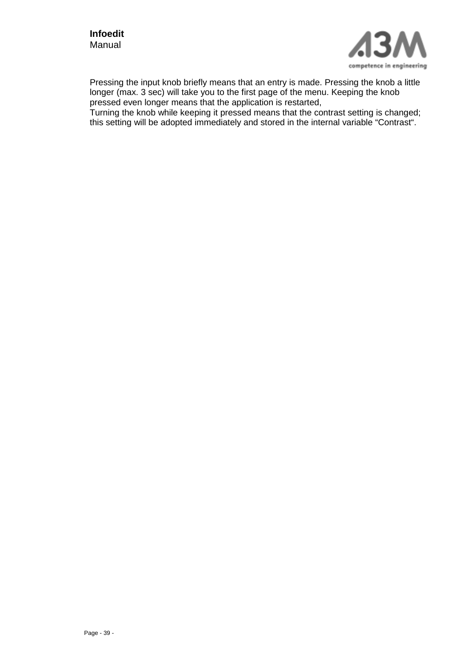

Pressing the input knob briefly means that an entry is made. Pressing the knob a little longer (max. 3 sec) will take you to the first page of the menu. Keeping the knob pressed even longer means that the application is restarted,

Turning the knob while keeping it pressed means that the contrast setting is changed; this setting will be adopted immediately and stored in the internal variable "Contrast".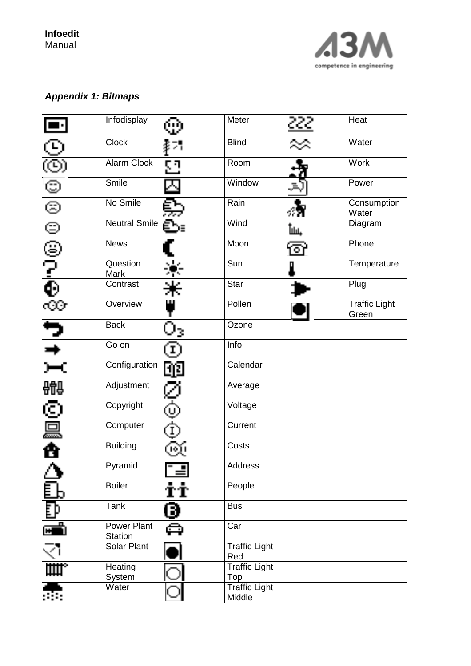<span id="page-39-0"></span>**Infoedit** Manual



# *Appendix 1: Bitmaps*

| EO®I                    | Infodisplay                   |    | Meter                          | <u> 222</u> | Heat                          |
|-------------------------|-------------------------------|----|--------------------------------|-------------|-------------------------------|
|                         | <b>Clock</b>                  |    | <b>Blind</b>                   |             | Water                         |
|                         | Alarm Clock                   | 연  | Room                           |             | Work                          |
| $\overline{\mathbb{O}}$ | Smile                         | ᄌ  | Window                         | ᄎ           | Power                         |
| ☺                       | No Smile                      |    | Rain                           |             | Consumption<br>Water          |
| ⊜                       | <b>Neutral Smile</b>          |    | Wind                           | Īш.         | Diagram                       |
| erd<br>O                | <b>News</b>                   |    | Moon                           | তি          | Phone                         |
|                         | Question<br>Mark              |    | Sun                            |             | Temperature                   |
|                         | Contrast                      |    | <b>Star</b>                    |             | Plug                          |
| ≪া                      | Overview                      |    | Pollen                         | $\bullet$   | <b>Traffic Light</b><br>Green |
| $\mathbf{C}$            | <b>Back</b>                   | О3 | Ozone                          |             |                               |
|                         | Go on                         |    | Info                           |             |                               |
| ĭ                       | Configuration                 |    | Calendar                       |             |                               |
| 嘂                       | Adjustment                    |    | Average                        |             |                               |
| C                       | Copyright                     | U  | Voltage                        |             |                               |
| 昷                       | Computer                      | Ī  | Current                        |             |                               |
| Θ                       | <b>Building</b>               | ⊛  | Costs                          |             |                               |
|                         | Pyramid                       | I  | <b>Address</b>                 |             |                               |
| Ē                       | <b>Boiler</b>                 | İŤ | People                         |             |                               |
| E                       | Tank                          | Θ  | <b>Bus</b>                     |             |                               |
|                         | Power Plant<br><b>Station</b> |    | Car                            |             |                               |
|                         | Solar Plant                   |    | <b>Traffic Light</b><br>Red    |             |                               |
|                         | Heating<br><b>System</b>      |    | <b>Traffic Light</b><br>Top    |             |                               |
|                         | Water                         |    | <b>Traffic Light</b><br>Middle |             |                               |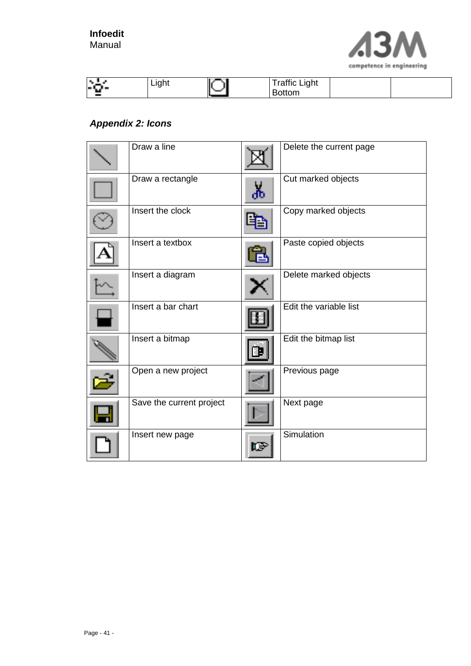

<span id="page-40-0"></span>

| ∼י  | .   |
|-----|-----|
| . . | . . |

# *Appendix 2: Icons*

| Draw a line              |    | Delete the current page |
|--------------------------|----|-------------------------|
| Draw a rectangle         | óб | Cut marked objects      |
| Insert the clock         |    | Copy marked objects     |
| Insert a textbox         |    | Paste copied objects    |
| Insert a diagram         |    | Delete marked objects   |
| Insert a bar chart       |    | Edit the variable list  |
| Insert a bitmap          |    | Edit the bitmap list    |
| Open a new project       |    | Previous page           |
| Save the current project |    | Next page               |
| Insert new page          | DЗ | Simulation              |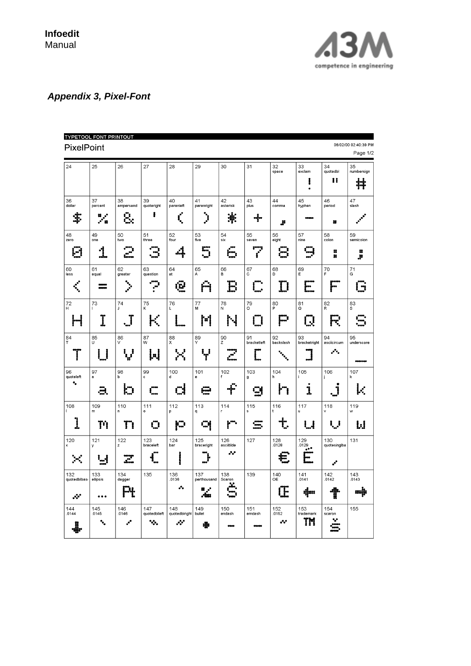

# <span id="page-41-0"></span> *Appendix 3, Pixel-Font*

| <b>TYPETOOL FONT PRINTOUT</b>                      |                                |                                       |                                  |                                 |                                                                                           |                                        |                          |                            |                           |                            |                            |
|----------------------------------------------------|--------------------------------|---------------------------------------|----------------------------------|---------------------------------|-------------------------------------------------------------------------------------------|----------------------------------------|--------------------------|----------------------------|---------------------------|----------------------------|----------------------------|
| 06/02/00 02:40:39 PM<br>PixelPoint<br>Page 1/2     |                                |                                       |                                  |                                 |                                                                                           |                                        |                          |                            |                           |                            |                            |
| 24                                                 | 25                             | 26                                    | 27                               | 28                              | 29                                                                                        | 30                                     | 31                       | 32<br>space                | 33<br>exclam<br>ļ         | 34<br>quotedbl<br>Ħ        | 35<br>numbersign<br>井      |
| 36<br>dollar<br>İ                                  | 37<br>percent<br>$\frac{a}{a}$ | 38<br>ampersand<br>Ċ.                 | 39<br>quoteright<br>ı            | 40<br>parenleft<br>$\mathbf{r}$ | 41<br>parenright<br>֧֦֧֢֧֦֧֦֧֦֧֦֧֧֦֧֦֧֧֦֧֧֧֦֧֧֧֧֧֧֧֧֧֧֧֧֧֧֧֧֡֡֡֟֟֟֝֓֓֝֬֟֓֓֓֓֓֓֓֓֓<br>֧֢֧֞ | 42<br>asterisk<br>涞                    | 43<br>plus               | 44<br>comma<br>j           | 45<br>hyphen              | 46<br>period<br>u          | 47<br>slash<br>            |
| 48<br>zero<br>ŀ1                                   | 49<br>one<br>1                 | 50<br>two<br>i.                       | 51<br>three                      | 52<br>four                      | 53<br>five<br>$\dddot{\mathbf{u}}$                                                        | 54<br>six<br>t.                        | 55<br>seven<br>بسبر<br>ŕ | 56<br>eight<br>m,          | 57<br>nine                | 58<br>colon<br>×<br>22     | 59<br>semicolon<br>×<br>ŗ, |
| 60<br>less<br>্                                    | 61<br>equal                    | 62<br>greater<br>$\ddot{\phantom{a}}$ | 63<br>question<br>۳              | 64<br>at<br>i Li                | 65<br>А<br>M                                                                              | 66<br>B<br>E                           | $_{\rm c}^{67}$<br>C     | 68<br>D<br>$\prod_{i=1}^n$ | 69<br>Е<br>j<br>I         | $\frac{70}{F}$<br>ŗ.       | 71<br>G<br>١ÿ              |
| $^{72}_{\nH}$<br>4                                 | 73<br>Ι                        | 74<br>$\cdot \cdot$                   | 75<br>$\vdash$                   | 76                              | 77<br>M<br> ¤]                                                                            | 78<br>N<br>N                           | $\frac{79}{9}$<br>Π      | 80<br>P<br>₩               | 81<br>$\circ$<br>$\Box$   | 82<br>$\mathsf{R}$<br>F    | 83<br>s                    |
| $\frac{84}{T}$<br>Ţ                                | 85<br>Ü<br>▐                   | 86<br>$\vee$<br>i <sub>r</sub> i      | 87<br>W<br>ļ¤ļ                   | 88<br>X                         | 89<br>Ÿ<br>ł                                                                              | 90<br>Z<br>فيبي                        | 91<br>bracketleft        | 92<br>backslash            | 93<br>bracketright        | 94<br>asciicircum<br>يتعمى | 95<br>underscore           |
| 96<br>quoteleft<br>۰,                              | 97<br>a<br>a                   | 98<br>$\mathbf{h}$<br>b               | 99<br>c<br>Ĉ                     | 100 <sub>d</sub><br>d           | 101<br>e<br>€                                                                             | $102 \text{ f}$<br>$\ddot{\textbf{r}}$ | 103<br>g<br>q            | 104<br>հ<br>ì              | 105<br>1                  | 106<br>1                   | 107<br>k<br>Ŀ              |
| 108<br>1                                           | 109<br>m<br>Tij                | 110<br>Tı                             | 111<br>O                         | 112<br>p<br>p                   | 113<br>q                                                                                  | 114                                    | 115<br>s<br>÷            | 116<br>t<br>Ť.             | 117<br>$\mathbf{u}$<br>į, | 118<br>L,                  | 119<br>w<br>W              |
| 120                                                | 121<br>У                       | 122<br>$\overline{z}$                 | 123<br>braceleft<br>$\mathbf{f}$ | 124<br>bar                      | 125<br>braceright                                                                         | 126<br>asciitilde<br>÷÷                | 127                      | 128<br>.0128<br>Þ.         | 129<br>.0129<br>┡┉        | 130<br>quotesinglba<br>مر  | 131                        |
| 132<br>quotedblbase<br>$\mathcal{L}^{\mathcal{L}}$ | 133<br>ellipsis                | 134<br>dagger                         | 135                              | 136<br>.0136<br>è.              | 137<br>perthousand<br>. a<br>, tm                                                         | 138<br>Scaron                          | 139                      | $140$<br>OE<br>Œ           | 141<br>.0141<br>m         | 142<br>.0142               | 143<br>.0143               |
| 144<br>.0144                                       | 145<br>.0145                   | 146<br>.0146<br>$\cdot$               | 147<br>quotedblleft<br>٠.        | 148<br>quotedblright<br>من ا    | 149<br>bullet<br>啩                                                                        | 150<br>endash                          | 151<br>emdash            | 152<br>.0152<br>∴.         | 153<br>trademark<br>TM    | 154<br>scaron<br>₩,        | 155                        |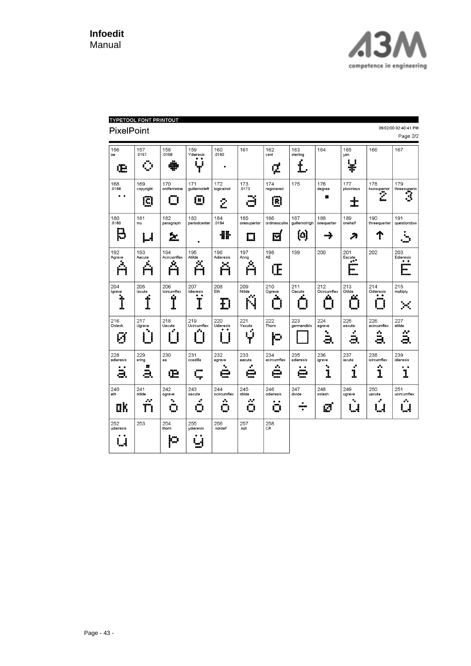

| PixelPoint                       |                       |                               |                                                 |                                     |                                 |                           |                             |                          |                    |                               | 06/02/00 02:40:41 PM<br>Page 2/2 |
|----------------------------------|-----------------------|-------------------------------|-------------------------------------------------|-------------------------------------|---------------------------------|---------------------------|-----------------------------|--------------------------|--------------------|-------------------------------|----------------------------------|
| 156<br>oe<br>œ                   | 157<br>.0157          | 158<br>.0158                  | 159<br>Ydieresis                                | 160<br>.0160                        | 161                             | 162<br>cent<br>Œ          | 163<br>sterlina             | 164                      | 165<br>yen         | 166                           | 167                              |
| 168<br>.0168<br>$\bullet\bullet$ | 169<br>copyright<br>C | 170<br>ordfeminine<br>$\Box$  | 171<br>guillemotleft<br>$\overline{\mathbf{a}}$ | 172<br>logicalnot<br>Ž              | 173<br>.0173                    | 174<br>registered<br>B    | 175                         | 176<br>degree<br>×       | 177<br>plusminus   | 178<br>twosuperior<br>2       | 179<br>three superio             |
| 180<br>.0180                     | 181<br>mu             | 182<br>paragraph<br><u>Ус</u> | 183<br>periodcenter                             | 184<br>.0184<br>掛                   | 185<br>onesuperior<br>□         | 186<br>ordmasculine<br>М  | 187<br>guillemotrigh<br>[∆] | 188<br>onequarter        | 189<br>onehalf     | 190<br>threequarter           | 191<br>questiondow               |
| 192<br>Agrave                    | 193<br>Aacute         | 194<br>Acircumflex            | 195<br>Atilde                                   | 196<br>Adieresis                    | 197<br>Aring                    | 198<br>AE<br>Œ            | 199                         | 200                      | 201<br>Eacute      | 202                           | 203<br>Edieresis                 |
| 204<br>Igrave<br>Ì               | 205<br>lacute<br>İ    | 206<br>Icircumflex<br>İ       | 207<br>Idieresis                                | 208<br>Eth<br>Fl                    | 209<br>Ntilde                   | 210<br>Ograve             | 211<br>Oacute               | 212<br>Ocircumflex       | 213<br>Otilde      | 214<br>Odieresis              | 215<br>multiply                  |
| 216<br>Oslash                    | 217<br>Ugrave         | 218<br>Uacute                 | 219<br>Ucircumflex                              | 220<br>Udieresis                    | 221<br>Yacute<br>Ŧ              | 222<br>Thorn              | 223<br>germandbls           | 224<br>agrave<br>d       | 225<br>aacute<br>₫ | 226<br>acircumflex<br>s.      | 227<br>atilde                    |
| 228<br>adieresis<br>d            | 229<br>aring          | 230<br>ae<br>œ                | 231<br>ccedilla<br>'                            | 232<br>egrave<br>issa               | 233<br>eacute<br>98 O           | 234<br>ecircumflex<br>mai | 235<br>edieresis<br>m       | 236<br>igrave<br>٠.<br>1 | 237<br>iacute<br>1 | 238<br>icircumflex<br>÷.<br>1 | 239<br>idieresis                 |
| 240<br>eth<br>OK.                | 241<br>ntilde<br>∙∙   | 242<br>ograve                 | 243<br>oacute                                   | 244<br>ocircumflex<br>$\frac{1}{2}$ | 245<br>otilde<br>$\ddotsc$<br>Ö | 246<br>odieresis<br>O     | 247<br>divide               | 248<br>oslash<br>Ø       | 249<br>ugrave      | 250<br>uacute<br>W            | 251<br>ucircumflex<br>∴.         |
| 252<br>udieresis                 | 253                   | 254<br>thorn                  | 255<br>ydieresis                                | 256<br>.notdef                      | 257<br>.null                    | 258<br>CR                 |                             |                          |                    |                               |                                  |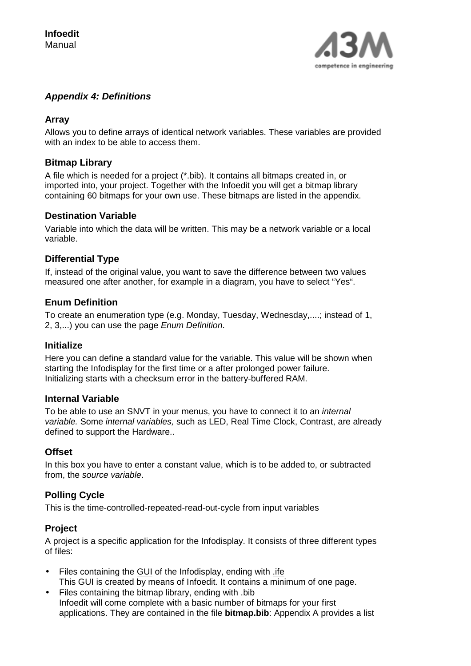

# <span id="page-43-0"></span>*Appendix 4: Definitions*

# **Array**

Allows you to define arrays of identical network variables. These variables are provided with an index to be able to access them.

# **Bitmap Library**

A file which is needed for a project (\*.bib). It contains all bitmaps created in, or imported into, your project. Together with the Infoedit you will get a bitmap library containing 60 bitmaps for your own use. These bitmaps are listed in the appendix.

# **Destination Variable**

Variable into which the data will be written. This may be a network variable or a local variable.

# **Differential Type**

If, instead of the original value, you want to save the difference between two values measured one after another, for example in a diagram, you have to select "Yes".

# **Enum Definition**

To create an enumeration type (e.g. Monday, Tuesday, Wednesday,....; instead of 1, 2, 3,...) you can use the page *Enum Definition*.

# **Initialize**

Here you can define a standard value for the variable. This value will be shown when starting the Infodisplay for the first time or a after prolonged power failure. Initializing starts with a checksum error in the battery-buffered RAM.

# **Internal Variable**

To be able to use an SNVT in your menus, you have to connect it to an *internal variable.* Some *internal variables,* such as LED, Real Time Clock, Contrast, are already defined to support the Hardware..

# **Offset**

In this box you have to enter a constant value, which is to be added to, or subtracted from, the *source variable*.

# **Polling Cycle**

This is the time-controlled-repeated-read-out-cycle from input variables

# **Project**

A project is a specific application for the Infodisplay. It consists of three different types of files:

- Files containing the GUI of the Infodisplay, ending with .ife This GUI is created by means of Infoedit. It contains a minimum of one page.
- Files containing the bitmap library, ending with .bib Infoedit will come complete with a basic number of bitmaps for your first applications. They are contained in the file **bitmap.bib**: Appendix A provides a list